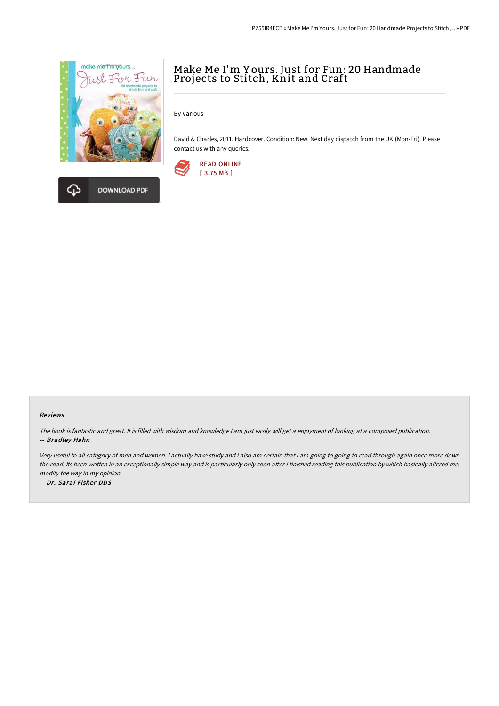

# Make Me I'm Y ours. Just for Fun: 20 Handmade Projects to Stitch, Knit and Craft

By Various

David & Charles, 2011. Hardcover. Condition: New. Next day dispatch from the UK (Mon-Fri). Please contact us with any queries.



#### Reviews

The book is fantastic and great. It is filled with wisdom and knowledge <sup>I</sup> am just easily will get <sup>a</sup> enjoyment of looking at <sup>a</sup> composed publication. -- Bradley Hahn

Very useful to all category of men and women. <sup>I</sup> actually have study and i also am certain that i am going to going to read through again once more down the road. Its been written in an exceptionally simple way and is particularly only soon after i finished reading this publication by which basically altered me, modify the way in my opinion.

-- Dr. Sarai Fisher DDS